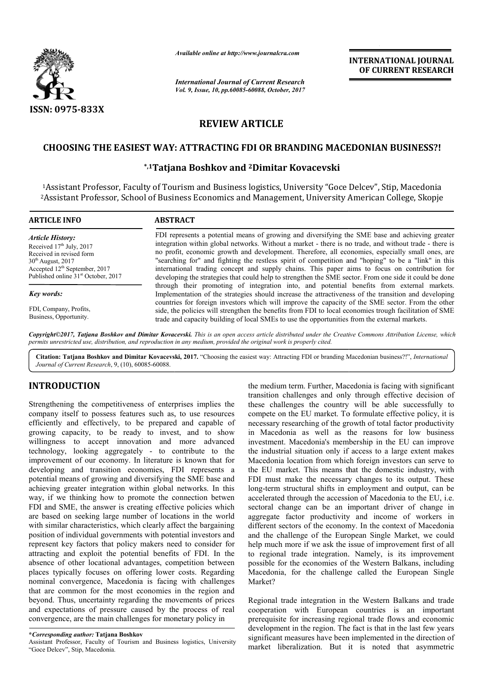

*Available online at http://www.journalcra.com*

*International Journal of Current Research Vol. 9, Issue, 10, pp.60085-60088, October, 2017* **INTERNATIONAL JOURNAL OF CURRENT RESEARCH** 

# **REVIEW ARTICLE**

## **CHOOSING THE EASIEST WAY: ATTRACTING FDI OR BRANDING MACEDONIAN BUSINESS?! ATTRACTING FDI**

### **\*,1Tatjana Boshkov and Tatjana 2Dimitar Kovacevski**

1Assistant Professor, Faculty of Tourism and Business logistics, University "Goce Delcev", Stip, Macedonia<br>?Assistant Professor, School of Business Economics and Management, University American College, Skopje <sup>2</sup>Assistant Professor, School of Business Economics and Management, University American College

| <b>ARTICLE INFO</b>                                                                                                                                                                                      | <b>ABSTRACT</b>                                                                                                                                                                                                                                                                                                                                                                                                                                                                                                                                                                                                                                                                                                                                                                                                                                                                                                                                                                                                                                                                                                                                       |
|----------------------------------------------------------------------------------------------------------------------------------------------------------------------------------------------------------|-------------------------------------------------------------------------------------------------------------------------------------------------------------------------------------------------------------------------------------------------------------------------------------------------------------------------------------------------------------------------------------------------------------------------------------------------------------------------------------------------------------------------------------------------------------------------------------------------------------------------------------------------------------------------------------------------------------------------------------------------------------------------------------------------------------------------------------------------------------------------------------------------------------------------------------------------------------------------------------------------------------------------------------------------------------------------------------------------------------------------------------------------------|
| <b>Article History:</b><br>Received $17th$ July, 2017<br>Received in revised form<br>$30th$ August, 2017<br>Accepted 12 <sup>th</sup> September, 2017<br>Published online 31 <sup>st</sup> October, 2017 | FDI represents a potential means of growing and diversifying the SME base and achieving greater<br>integration within global networks. Without a market - there is no trade, and without trade - there is<br>no profit, economic growth and development. Therefore, all economies, especially small ones, are<br>"searching for" and fighting the restless spirit of competition and "hoping" to be a "link" in this<br>international trading concept and supply chains. This paper aims to focus on contribution for<br>developing the strategies that could help to strengthen the SME sector. From one side it could be done<br>through their promoting of integration into, and potential benefits from external markets.<br>Implementation of the strategies should increase the attractiveness of the transition and developing<br>countries for foreign investors which will improve the capacity of the SME sector. From the other<br>side, the policies will strengthen the benefits from FDI to local economies trough facilitation of SME<br>trade and capacity building of local SMEs to use the opportunities from the external markets. |
| <b>Key words:</b>                                                                                                                                                                                        |                                                                                                                                                                                                                                                                                                                                                                                                                                                                                                                                                                                                                                                                                                                                                                                                                                                                                                                                                                                                                                                                                                                                                       |
| FDI, Company, Profits,<br>Business, Opportunity.                                                                                                                                                         |                                                                                                                                                                                                                                                                                                                                                                                                                                                                                                                                                                                                                                                                                                                                                                                                                                                                                                                                                                                                                                                                                                                                                       |

*Copyright©2017, Tatjana Boshkov and Dimitar Kovacevski Kovacevski. This is an open access article distributed under the Creative Commons Att the Creative Attribution License, which permits unrestricted use, distribution, and reproduction in any medium, provided the original work is properly cited.*

Citation: Tatjana Boshkov and Dimitar Kovacevski, 2017. "Choosing the easiest way: Attracting FDI or branding Macedonian business?!", *International Journal of Current Research*, 9, (10), 60085-60088.

## **INTRODUCTION**

Strengthening the competitiveness of enterprises implies the company itself to possess features such as, to use resources efficiently and effectively, to be prepared and capable of growing capacity, to be ready to invest, and to show willingness to accept innovation and more advanced technology, looking aggregately - to contribute to the improvement of our economy. In literature is known that for developing and transition economies, FDI represents a potential means of growing and diversifying the SME base and achieving greater integration within global networks. In this way, if we thinking how to promote the connection betwen FDI and SME, the answer is creating effective policies which are based on seeking large number of locations in the world with similar characteristics, which clearly affect the bargaining position of individual governments with potential investors and represent key factors that policy makers need to consider for attracting and exploit the potential benefits of FDI. In the absence of other locational advantages, competition between places typically focuses on offering lower costs. Regarding nominal convergence, Macedonia is facing with challenges that are common for the most economies in the region and beyond. Thus, uncertainty regarding the movements of prices and expectations of pressure caused by the process of real convergence, are the main challenges for monetary policy in

the medium term. Further, Macedonia is facing with significant the medium term. Further, Macedonia is facing with significant transition challenges and only through effective decision of these challenges the country will be able successfully to compete on the EU market. To formulate effective policy, it is necessary researching of the growth of total factor productivity in Macedonia as well as the reasons for investment. Macedonia's membership in the EU can improve the industrial situation only if access to a large extent makes Macedonia location from which foreign investors can serve to the EU market. This means that the domestic industry, with FDI must make the necessary changes to its output. These long-term structural shifts in employment and output, can be accelerated through the accession of Macedonia to the EU, i.e. sectoral change can be an important driver of change in aggregate factor productivity and income of workers in different sectors of the economy. In the context of Macedonia and the challenge of the European Single Market, we could help much more if we ask the issue of improvement first of all and the challenge of the European Single Market, we could help much more if we ask the issue of improvement first of all to regional trade integration. Namely, is its improvement possible for the economies of the Western Balkans, including possible for the economies of the Western Balkans, including<br>Macedonia, for the challenge called the European Single Market? challenges the country will be able successfully to<br>te on the EU market. To formulate effective policy, it is<br>ary researching of the growth of total factor productivity<br>incedonia as well as the reasons for low business estment. Macedonia's membership in the EU can improve<br>industrial situation only if access to a large extent makes<br>cedonia location from which foreign investors can serve to<br>EU market. This means that the domestic industry, **EXERCTIONAL JOURNAL CONSTRANT CONSTRANT CONSTRANT ON A CONSTRANT ON A CONSTRANT ON A CONSTRANT PRESERVACE THE CONSTRANT CONSTRANT TO COUNT THE CONSTRANT TO COUNT THE CONSTRANT TO COUNT THE UNIVERSISY PROPERTIENT (THE USE** 

Regional trade integration in the Western Balkans and trade Regional trade integration in the Western Balkans and trade<br>cooperation with European countries is an important prerequisite for increasing regional trade flows and economic development in the region. The fact is that in the last few years significant measures have been implemented in the direction of market liberalization. But it is noted that asymmetric

**<sup>\*</sup>***Corresponding author:* **Tatjana Boshkov** 

Assistant Professor, Faculty of Tourism and Business logistics, University "Goce Delcev", Stip, Macedonia.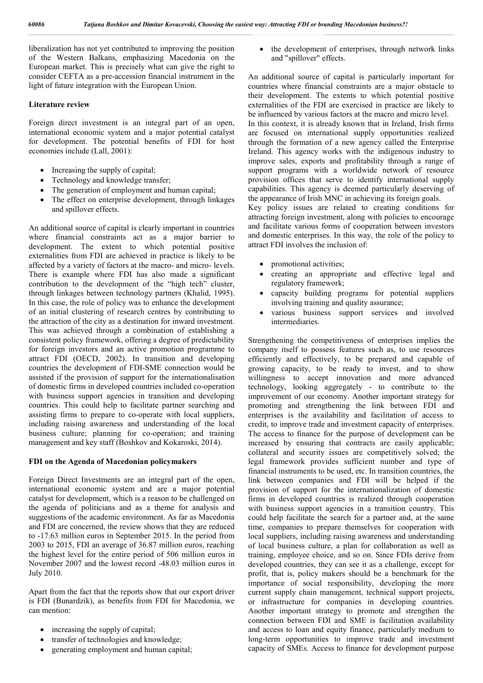liberalization has not yet contributed to improving the position of the Western Balkans, emphasizing Macedonia on the European market. This is precisely what can give the right to consider CEFTA as a pre-accession financial instrument in the light of future integration with the European Union.

#### **Literature review**

Foreign direct investment is an integral part of an open, international economic system and a major potential catalyst for development. The potential benefits of FDI for host economies include (Lall, 2001):

- Increasing the supply of capital;
- Technology and knowledge transfer;
- The generation of employment and human capital;
- The effect on enterprise development, through linkages and spillover effects.

An additional source of capital is clearly important in countries where financial constraints act as a major barrier to development. The extent to which potential positive externalities from FDI are achieved in practice is likely to be affected by a variety of factors at the macro- and micro- levels. There is example where FDI has also made a significant contribution to the development of the "high tech" cluster, through linkages between technology partners (Khalid, 1995). In this case, the role of policy was to enhance the development of an initial clustering of research centres by contributing to the attraction of the city as a destination for inward investment. This was achieved through a combination of establishing a consistent policy framework, offering a degree of predictability for foreign investors and an active promotion programme to attract FDI (OECD, 2002). In transition and developing countries the development of FDI-SME connection would be assisted if the provision of support for the internationalisation of domestic firms in developed countries included co-operation with business support agencies in transition and developing countries. This could help to facilitate partner searching and assisting firms to prepare to co-operate with local suppliers, including raising awareness and understanding of the local business culture; planning for co-operation; and training management and key staff (Boshkov and Kokaroski, 2014).

#### **FDI on the Agenda of Macedonian policymakers**

Foreign Direct Investments are an integral part of the open, international economic system and are a major potential catalyst for development, which is a reason to be challenged on the agenda of politicians and as a theme for analysis and suggestions of the academic environment. As far as Macedonia and FDI are concerned, the review shows that they are reduced to -17.63 million euros in September 2015. In the period from 2003 to 2015, FDI an average of 36.87 million euros, reaching the highest level for the entire period of 506 million euros in November 2007 and the lowest record -48.03 million euros in July 2010.

Apart from the fact that the reports show that our export driver is FDI (Bunardzik), as benefits from FDI for Macedonia, we can mention:

- increasing the supply of capital;
- transfer of technologies and knowledge;
- generating employment and human capital;

• the development of enterprises, through network links and "spillover" effects.

An additional source of capital is particularly important for countries where financial constraints are a major obstacle to their development. The extents to which potential positive externalities of the FDI are exercised in practice are likely to be influenced by various factors at the macro and micro level. In this context, it is already known that in Ireland, Irish firms

are focused on international supply opportunities realized through the formation of a new agency called the Enterprise Ireland. This agency works with the indigenous industry to improve sales, exports and profitability through a range of support programs with a worldwide network of resource provision offices that serve to identify international supply capabilities. This agency is deemed particularly deserving of the appearance of Irish MNC in achieving its foreign goals.

Key policy issues are related to creating conditions for attracting foreign investment, along with policies to encourage and facilitate various forms of cooperation between investors and domestic enterprises. In this way, the role of the policy to attract FDI involves the inclusion of:

- promotional activities;
- creating an appropriate and effective legal and regulatory framework;
- capacity building programs for potential suppliers involving training and quality assurance;
- various business support services and involved intermediaries.

Strengthening the competitiveness of enterprises implies the company itself to possess features such as, to use resources efficiently and effectively, to be prepared and capable of growing capacity, to be ready to invest, and to show willingness to accept innovation and more advanced technology, looking aggregately - to contribute to the improvement of our economy. Another important strategy for promoting and strengthening the link between FDI and enterprises is the availability and facilitation of access to credit, to improve trade and investment capacity of enterprises. The access to finance for the purpose of development can be increased by ensuring that contracts are easily applicable; collateral and security issues are competitively solved; the legal framework provides sufficient number and type of financial instruments to be used, etc. In transition countries, the link between companies and FDI will be helped if the provision of support for the internationalization of domestic firms in developed countries is realized through cooperation with business support agencies in a transition country. This could help facilitate the search for a partner and, at the same time, companies to prepare themselves for cooperation with local suppliers, including raising awareness and understanding of local business culture, a plan for collaboration as well as training, employee choice, and so on. Since FDIs derive from developed countries, they can see it as a challenge, except for profit, that is, policy makers should be a benchmark for the importance of social responsibility, developing the more current supply chain management, technical support projects, or infrastructure for companies in developing countries. Another important strategy to promote and strengthen the connection between FDI and SME is facilitation availability and access to loan and equity finance, particularly medium to long-term opportunities to improve trade and investment capacity of SMEs. Access to finance for development purpose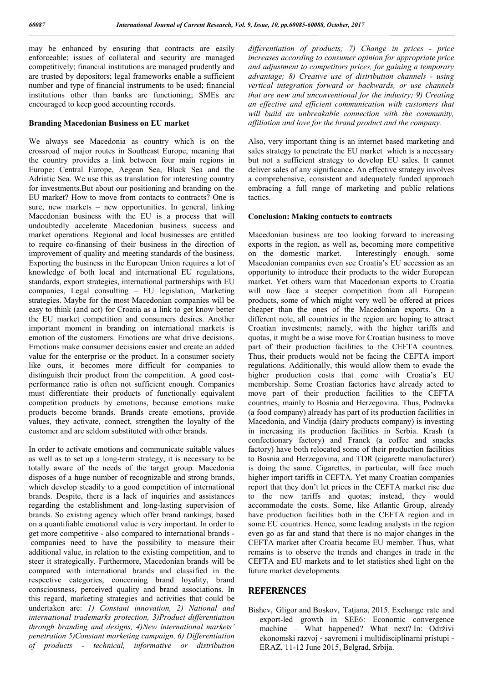may be enhanced by ensuring that contracts are easily enforceable; issues of collateral and security are managed competitively; financial institutions are managed prudently and are trusted by depositors; legal frameworks enable a sufficient number and type of financial instruments to be used; financial institutions other than banks are functioning; SMEs are encouraged to keep good accounting records.

#### **Branding Macedonian Business on EU market**

We always see Macedonia as country which is on the crossroad of major routes in Southeast Europe, meaning that the country provides a link between four main regions in Europe: Central Europe, Aegean Sea, Black Sea and the Adriatic Sea. We use this as translation for interesting country for investments.But about our positioning and branding on the EU market? How to move from contacts to contracts? One is sure, new markets – new opportunities. In general, linking Macedonian business with the EU is a process that will undoubtedly accelerate Macedonian business success and market operations. Regional and local businesses are entitled to require co-finansing of their business in the direction of improvement of quality and meeting standards of the business. Exporting the business in the European Union requires a lot of knowledge of both local and international EU regulations, standards, export strategies, international partnerships with EU companies, Legal consulting – EU legislation, Marketing strategies. Maybe for the most Macedonian companies will be easy to think (and act) for Croatia as a link to get know better the EU market competition and consumers desires. Another important moment in branding on international markets is emotion of the customers. Emotions are what drive decisions. Emotions make consumer decisions easier and create an added value for the enterprise or the product. In a consumer society like ours, it becomes more difficult for companies to distinguish their product from the competition. A good costperformance ratio is often not sufficient enough. Companies must differentiate their products of functionally equivalent competition products by emotions, because emotions make products become brands. Brands create emotions, provide values, they activate, connect, strengthen the loyalty of the customer and are seldom substituted with other brands.

In order to activate emotions and communicate suitable values as well as to set up a long-term strategy, it is necessary to be totally aware of the needs of the target group. Macedonia disposes of a huge number of recognizable and strong brands, which develop steadily to a good competition of international brands. Despite, there is a lack of inquiries and assistances regarding the establishment and long-lasting supervision of brands. So existing agency which offer brand rankings, based on a quantifiable emotional value is very important. In order to get more competitive - also compared to international brands companies need to have the possibility to measure their additional value, in relation to the existing competition, and to steer it strategically. Furthermore, Macedonian brands will be compared with international brands and classified in the respective categories, concerning brand loyality, brand consciousness, perceived quality and brand associations. In this regard, marketing strategies and activities that could be undertaken are: *1) Constant innovation, 2) National and international trademarks protection, 3)Product differentiation through branding and designs, 4)New international markets' penetration 5)Constant marketing campaign, 6) Differentiation of products - technical, informative or distribution* 

*differentiation of products; 7) Change in prices - price increases according to consumer opinion for appropriate price and adjustment to competitors prices, for gaining a temporary advantage; 8) Creative use of distribution channels - using vertical integration forward or backwards, or use channels that are new and unconventional for the industry; 9) Creating an effective and efficient communication with customers that will build an unbreakable connection with the community, affiliation and love for the brand product and the company.*

Also, very important thing is an internet based marketing and sales strategy to penetrate the EU market which is a necessary but not a sufficient strategy to develop EU sales. It cannot deliver sales of any significance. An effective strategy involves a comprehensive, consistent and adequately funded approach embracing a full range of marketing and public relations tactics.

#### **Conclusion: Making contacts to contracts**

Macedonian business are too looking forward to increasing exports in the region, as well as, becoming more competitive<br>on the domestic market. Interestingly enough, some Interestingly enough, some Macedonian companies even see Croatia's EU accession as an opportunity to introduce their products to the wider European market. Yet others warn that Macedonian exports to Croatia will now face a steeper competition from all European products, some of which might very well be offered at prices cheaper than the ones of the Macedonian exports. On a different note, all countries in the region are hoping to attract Croatian investments; namely, with the higher tariffs and quotas, it might be a wise move for Croatian business to move part of their production facilities to the CEFTA countries. Thus, their products would not be facing the CEFTA import regulations. Additionally, this would allow them to evade the higher production costs that come with Croatia's EU membership. Some Croatian factories have already acted to move part of their production facilities to the CEFTA countries, mainly to Bosnia and Herzegovina. Thus, Podravka (a food company) already has part of its production facilities in Macedonia, and Vindija (dairy products company) is investing in increasing its production facilities in Serbia. Krash (a confectionary factory) and Franck (a coffee and snacks factory) have both relocated some of their production facilities to Bosnia and Herzegovina, and TDR (cigarette manufacturer) is doing the same. Cigarettes, in particular, will face much higher import tariffs in CEFTA. Yet many Croatian companies report that they don't let prices in the CEFTA market rise due to the new tariffs and quotas; instead, they would accommodate the costs. Some, like Atlantic Group, already have production facilities both in the CEFTA region and in some EU countries. Hence, some leading analysts in the region even go as far and stand that there is no major changes in the CEFTA market after Croatia became EU member. Thus, what remains is to observe the trends and changes in trade in the CEFTA and EU markets and to let statistics shed light on the future market developments.

### **REFERENCES**

Bishev, Gligor and Boskov, Tatjana, 2015. Exchange rate and export-led growth in SEE6: Economic convergence machine – What happened? What next? In: Održivi ekonomski razvoj - savremeni i multidisciplinarni pristupi - ERAZ, 11-12 June 2015, Belgrad, Srbija.